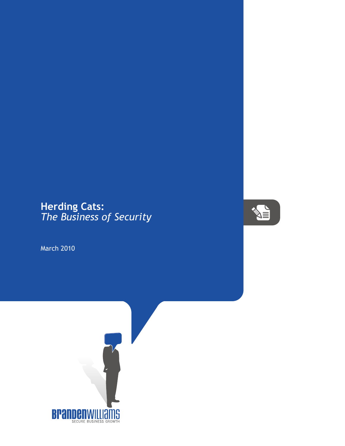## **Herding Cats:** *The Business of Security*

March 2010



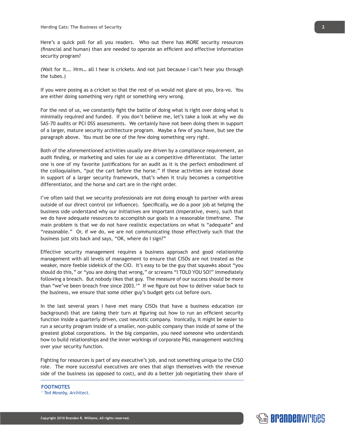Here's a quick poll for all you readers. Who out there has MORE security resources (financial and human) than are needed to operate an efficient and effective information security program?

(Wait for it…. Hrm… all I hear is crickets. And not just because I can't hear you through the tubes.)

If you were posing as a cricket so that the rest of us would not glare at you, bra-vo. You are either doing something very right or something very wrong.

For the rest of us, we constantly fight the battle of doing what is right over doing what is minimally required and funded. If you don't believe me, let's take a look at why we do SAS-70 audits or PCI DSS assessments. We certainly have not been doing them in support of a larger, mature security architecture program. Maybe a few of you have, but see the paragraph above. You must be one of the few doing something very right.

Both of the aforementioned activities usually are driven by a compliance requirement, an audit finding, or marketing and sales for use as a competitive differentiator. The latter one is one of my favorite justifications for an audit as it is the perfect embodiment of the colloquialism, "put the cart before the horse." If these activities are instead done in support of a larger security framework, that's when it truly becomes a competitive differentiator, and the horse and cart are in the right order.

I've often said that we security professionals are not doing enough to partner with areas outside of our direct control (or influence). Specifically, we do a poor job at helping the business side understand why our initiatives are important (imperative, even), such that we do have adequate resources to accomplish our goals in a reasonable timeframe. The main problem is that we do not have realistic expectations on what is "adequate" and "reasonable." Or, if we do, we are not communicating those effectively such that the business just sits back and says, "OK, where do I sign?"

Effective security management requires a business approach and good relationship management with all levels of management to ensure that CISOs are not treated as the weaker, more feeble sidekick of the CIO. It's easy to be the guy that squawks about "you should do this," or "you are doing that wrong," or screams "I TOLD YOU SO!" immediately following a breach. But nobody likes that guy. The measure of our success should be more than "we've been breach free since 2003.<sup>1</sup>" If we figure out how to deliver value back to the business, we ensure that some other guy's budget gets cut before ours.

In the last several years I have met many CISOs that have a business education (or background) that are taking their turn at figuring out how to run an efficient security function inside a quarterly driven, cost neurotic company. Ironically, it might be easier to run a security program inside of a smaller, non-public company than inside of some of the greatest global corporations. In the big companies, you need someone who understands how to build relationships and the inner workings of corporate P&L management watching over your security function.

Fighting for resources is part of any executive's job, and not something unique to the CISO role. The more successful executives are ones that align themselves with the revenue side of the business (as opposed to cost), and do a better job negotiating their share of

**FOOTNOTES** *1 Ted Moseby, Architect.*

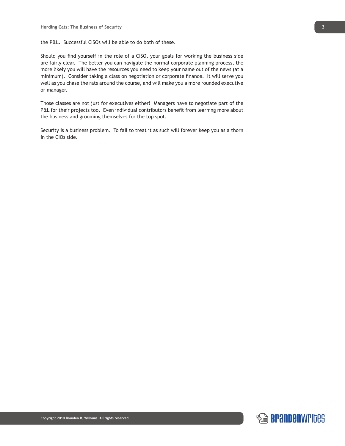the P&L. Successful CISOs will be able to do both of these.

Should you find yourself in the role of a CISO, your goals for working the business side are fairly clear. The better you can navigate the normal corporate planning process, the more likely you will have the resources you need to keep your name out of the news (at a minimum). Consider taking a class on negotiation or corporate finance. It will serve you well as you chase the rats around the course, and will make you a more rounded executive or manager.

Those classes are not just for executives either! Managers have to negotiate part of the P&L for their projects too. Even individual contributors benefit from learning more about the business and grooming themselves for the top spot.

Security is a business problem. To fail to treat it as such will forever keep you as a thorn in the CIOs side.